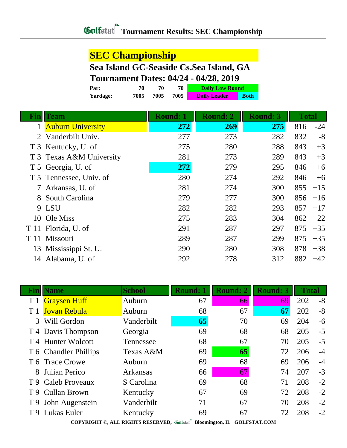### **SEC Championship**

## **Sea Island GC-Seaside Cs.Sea Island, GA**

### **Tournament Dates: 04/24 - 04/28, 2019**

| Par:            | 70   | 70   | 70   | <b>Daily Low Round</b> |             |
|-----------------|------|------|------|------------------------|-------------|
| <b>Yardage:</b> | 7005 | 7005 | 7005 | <b>Daily Leader</b>    | <b>Both</b> |

| Fin  | Team                     | <b>Round: 1</b> | <b>Round: 2</b> | <b>Round: 3</b> | <b>Total</b> |       |
|------|--------------------------|-----------------|-----------------|-----------------|--------------|-------|
|      | <b>Auburn University</b> | 272             | 269             | 275             | 816          | $-24$ |
|      | Vanderbilt Univ.         | 277             | 273             | 282             | 832          | $-8$  |
|      | T 3 Kentucky, U. of      | 275             | 280             | 288             | 843          | $+3$  |
|      | T 3 Texas A&M University | 281             | 273             | 289             | 843          | $+3$  |
|      | T 5 Georgia, U. of       | 272             | 279             | 295             | 846          | $+6$  |
|      | T 5 Tennessee, Univ. of  | 280             | 274             | 292             | 846          | $+6$  |
|      | Arkansas, U. of          | 281             | 274             | 300             | 855          | $+15$ |
| 8    | South Carolina           | 279             | 277             | 300             | 856          | $+16$ |
|      | 9 LSU                    | 282             | 282             | 293             | 857          | $+17$ |
| 10   | Ole Miss                 | 275             | 283             | 304             | 862          | $+22$ |
| T 11 | Florida, U. of           | 291             | 287             | 297             | 875          | $+35$ |
| T 11 | Missouri                 | 289             | 287             | 299             | 875          | $+35$ |
| 13   | Mississippi St. U.       | 290             | 280             | 308             | 878          | $+38$ |
| 14   | Alabama, U. of           | 292             | 278             | 312             | 882          | $+42$ |

| Fınl          | <b>Name</b>           | <b>School</b>   | <b>Round: 1</b> | <b>Round: 2</b> | <b>Round: 3</b> | <b>Total</b> |      |
|---------------|-----------------------|-----------------|-----------------|-----------------|-----------------|--------------|------|
| T 1           | <b>Graysen Huff</b>   | Auburn          | 67              | 66              | 69              | 202          | $-8$ |
|               | <b>Jovan Rebula</b>   | Auburn          | 68              | 67              | 67              | 202          | $-8$ |
| $\mathcal{R}$ | Will Gordon           | Vanderbilt      | 65              | 70              | 69              | 204          | $-6$ |
|               | T 4 Davis Thompson    | Georgia         | 69              | 68              | 68              | 205          | $-5$ |
|               | T 4 Hunter Wolcott    | Tennessee       | 68              | 67              | 70              | 205          | $-5$ |
|               | T 6 Chandler Phillips | Texas A&M       | 69              | 65              | 72              | 206          | $-4$ |
|               | T 6 Trace Crowe       | Auburn          | 69              | 68              | 69              | 206          | $-4$ |
| 8             | Julian Perico         | <b>Arkansas</b> | 66              | 67              | 74              | 207          | $-3$ |
|               | T 9 Caleb Proveaux    | S Carolina      | 69              | 68              | 71              | 208          | $-2$ |
|               | T 9 Cullan Brown      | Kentucky        | 67              | 69              | 72              | 208          | $-2$ |
|               | T 9 John Augenstein   | Vanderbilt      | 71              | 67              | 70              | 208          | $-2$ |
| T 9           | Lukas Euler           | Kentucky        | 69              | 67              | 72              | 208          | $-2$ |

**COPYRIGHT ©, ALL RIGHTS RESERVED, Bloomington, IL GOLFSTAT.COM**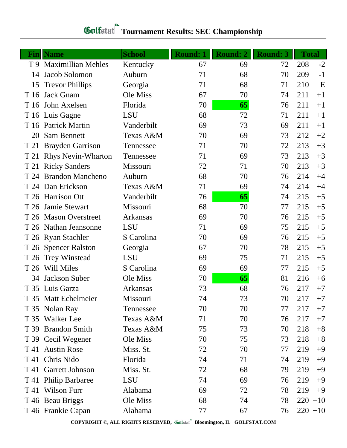| Fin  | <b>Name</b>               | <b>School</b> | <b>Round: 1</b> | <b>Round: 2</b> | <b>Round: 3</b> | <b>Total</b> |            |
|------|---------------------------|---------------|-----------------|-----------------|-----------------|--------------|------------|
|      | T 9 Maximillian Mehles    | Kentucky      | 67              | 69              | 72              | 208          | $-2$       |
| 14   | Jacob Solomon             | Auburn        | 71              | 68              | 70              | 209          | $-1$       |
| 15   | <b>Trevor Phillips</b>    | Georgia       | 71              | 68              | 71              | 210          | E          |
| T 16 | <b>Jack Gnam</b>          | Ole Miss      | 67              | 70              | 74              | 211          | $+1$       |
| T 16 | John Axelsen              | Florida       | 70              | 65              | 76              | 211          | $+1$       |
|      | T 16 Luis Gagne           | <b>LSU</b>    | 68              | 72              | 71              | 211          | $+1$       |
|      | T 16 Patrick Martin       | Vanderbilt    | 69              | 73              | 69              | 211          | $+1$       |
| 20   | Sam Bennett               | Texas A&M     | 70              | 69              | 73              | 212          | $+2$       |
| T 21 | <b>Brayden Garrison</b>   | Tennessee     | 71              | 70              | 72              | 213          | $+3$       |
| T 21 | <b>Rhys Nevin-Wharton</b> | Tennessee     | 71              | 69              | 73              | 213          | $+3$       |
| T 21 | <b>Ricky Sanders</b>      | Missouri      | 72              | 71              | 70              | 213          | $+3$       |
| T 24 | <b>Brandon Mancheno</b>   | Auburn        | 68              | 70              | 76              | 214          | $+4$       |
|      | T 24 Dan Erickson         | Texas A&M     | 71              | 69              | 74              | 214          | $+4$       |
|      | T 26 Harrison Ott         | Vanderbilt    | 76              | 65              | 74              | 215          | $+5$       |
| T 26 | Jamie Stewart             | Missouri      | 68              | 70              | 77              | 215          | $+5$       |
|      | T 26 Mason Overstreet     | Arkansas      | 69              | 70              | 76              | 215          | $+5$       |
|      | T 26 Nathan Jeansonne     | <b>LSU</b>    | 71              | 69              | 75              | 215          | $+5$       |
|      | T 26 Ryan Stachler        | S Carolina    | 70              | 69              | 76              | 215          | $+5$       |
|      | T 26 Spencer Ralston      | Georgia       | 67              | 70              | 78              | 215          | $+5$       |
|      | T 26 Trey Winstead        | <b>LSU</b>    | 69              | 75              | 71              | 215          | $+5$       |
|      | T 26 Will Miles           | S Carolina    | 69              | 69              | 77              | 215          | $+5$       |
| 34   | Jackson Suber             | Ole Miss      | 70              | 65              | 81              | 216          | $+6$       |
|      | T 35 Luis Garza           | Arkansas      | 73              | 68              | 76              | 217          | $+7$       |
|      | T 35 Matt Echelmeier      | Missouri      | 74              | 73              | 70              | 217          | $+7$       |
|      | T 35 Nolan Ray            | Tennessee     | 70              | 70              | 77              | 217          | $+7$       |
|      | T 35 Walker Lee           | Texas A&M     | 71              | 70              | 76              | 217          | $+7$       |
|      | T 39 Brandon Smith        | Texas A&M     | 75              | 73              | 70              | 218          | $+8$       |
|      | T 39 Cecil Wegener        | Ole Miss      | 70              | 75              | 73              | 218          | $+8$       |
|      | T 41 Austin Rose          | Miss. St.     | 72              | 70              | 77              | 219          | $+9$       |
|      | T 41 Chris Nido           | Florida       | 74              | 71              | 74              | 219          | $+9$       |
| T 41 | <b>Garrett Johnson</b>    | Miss. St.     | 72              | 68              | 79              | 219          | $+9$       |
| T 41 | <b>Philip Barbaree</b>    | LSU           | 74              | 69              | 76              | 219          | $+9$       |
|      | T 41 Wilson Furr          | Alabama       | 69              | 72              | 78              | 219          | $+9$       |
|      | T 46 Beau Briggs          | Ole Miss      | 68              | 74              | 78              | 220          | $+10$      |
|      | T 46 Frankie Capan        | Alabama       | 77              | 67              | 76              |              | $220 + 10$ |

# **Gulfatat** Tournament Results: SEC Championship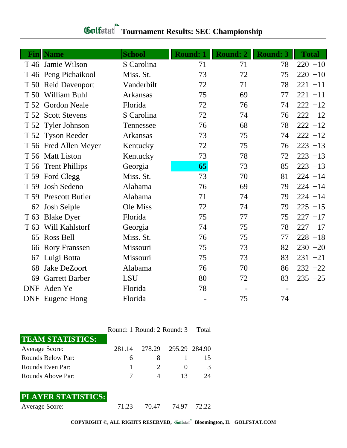|                        |                                                                                                                            |                                                        |                                         |                                   | <b>Total</b>                      |
|------------------------|----------------------------------------------------------------------------------------------------------------------------|--------------------------------------------------------|-----------------------------------------|-----------------------------------|-----------------------------------|
|                        |                                                                                                                            |                                                        |                                         |                                   | $220 + 10$                        |
|                        |                                                                                                                            |                                                        |                                         |                                   | $220 + 10$                        |
|                        |                                                                                                                            |                                                        |                                         |                                   | $221 + 11$                        |
| William Buhl<br>T 50   | Arkansas                                                                                                                   |                                                        | 69                                      | 77                                | $221 + 11$                        |
| T 52 Gordon Neale      | Florida                                                                                                                    | 72                                                     | 76                                      | 74                                | $222 + 12$                        |
| T 52 Scott Stevens     | S Carolina                                                                                                                 | 72                                                     | 74                                      | 76                                | $222 + 12$                        |
|                        | Tennessee                                                                                                                  | 76                                                     | 68                                      | 78                                | $222 + 12$                        |
|                        | Arkansas                                                                                                                   | 73                                                     | 75                                      | 74                                | $222 + 12$                        |
| T 56 Fred Allen Meyer  | Kentucky                                                                                                                   | 72                                                     | 75                                      | 76                                | $223 + 13$                        |
| T 56 Matt Liston       | Kentucky                                                                                                                   | 73                                                     | 78                                      | 72                                | $223 + 13$                        |
| T 56 Trent Phillips    | Georgia                                                                                                                    | 65                                                     | 73                                      | 85                                | $223 + 13$                        |
| T 59 Ford Clegg        | Miss. St.                                                                                                                  | 73                                                     | 70                                      | 81                                | $224 + 14$                        |
| Josh Sedeno            | Alabama                                                                                                                    | 76                                                     | 69                                      | 79                                | $224 + 14$                        |
| <b>Prescott Butler</b> | Alabama                                                                                                                    | 71                                                     | 74                                      | 79                                | $224 + 14$                        |
| Josh Seiple            | Ole Miss                                                                                                                   | 72                                                     | 74                                      | 79                                | $225 + 15$                        |
| <b>Blake Dyer</b>      | Florida                                                                                                                    | 75                                                     | 77                                      | 75                                | $227 + 17$                        |
| Will Kahlstorf         | Georgia                                                                                                                    | 74                                                     | 75                                      | 78                                | $227 + 17$                        |
| Ross Bell              | Miss. St.                                                                                                                  | 76                                                     | 75                                      | 77                                | $228 + 18$                        |
| <b>Rory Franssen</b>   | Missouri                                                                                                                   | 75                                                     | 73                                      | 82                                | $230 + 20$                        |
| Luigi Botta            | Missouri                                                                                                                   | 75                                                     | 73                                      | 83                                | $231 + 21$                        |
| <b>Jake DeZoort</b>    | Alabama                                                                                                                    | 76                                                     | 70                                      | 86                                | $232 + 22$                        |
| <b>Garrett Barber</b>  | <b>LSU</b>                                                                                                                 | 80                                                     | 72                                      | 83                                | $235 + 25$                        |
| Aden Ye                | Florida                                                                                                                    | 78                                                     |                                         | $\overline{\phantom{a}}$          |                                   |
| <b>DNF</b> Eugene Hong | Florida                                                                                                                    |                                                        | 75                                      | 74                                |                                   |
|                        | <b>Name</b><br>T 46 Jamie Wilson<br>T 46 Peng Pichaikool<br>T 50 Reid Davenport<br>T 52 Tyler Johnson<br>T 52 Tyson Reeder | <b>School</b><br>S Carolina<br>Miss. St.<br>Vanderbilt | <b>Round: 1</b><br>71<br>73<br>72<br>75 | <b>Round: 2</b><br>71<br>72<br>71 | <b>Round: 3</b><br>78<br>75<br>78 |

## **Tournament Results: SEC Championship**

Round: 1 Round: 2 Round: 3 Total

| <b>TEAM STATISTICS:</b>  |              |                      |                       |
|--------------------------|--------------|----------------------|-----------------------|
| Average Score:           | 281.14       | 278.29 295.29 284.90 |                       |
| <b>Rounds Below Par:</b> | <sub>6</sub> |                      | 15                    |
| Rounds Even Par:         |              |                      | 3                     |
| Rounds Above Par:        |              |                      | $\gamma_{\varLambda}$ |

### **PLAYER STATISTICS:**

Average Score: 71.23 70.47 74.97 72.22

**COPYRIGHT ©, ALL RIGHTS RESERVED, Bloomington, IL GOLFSTAT.COM**